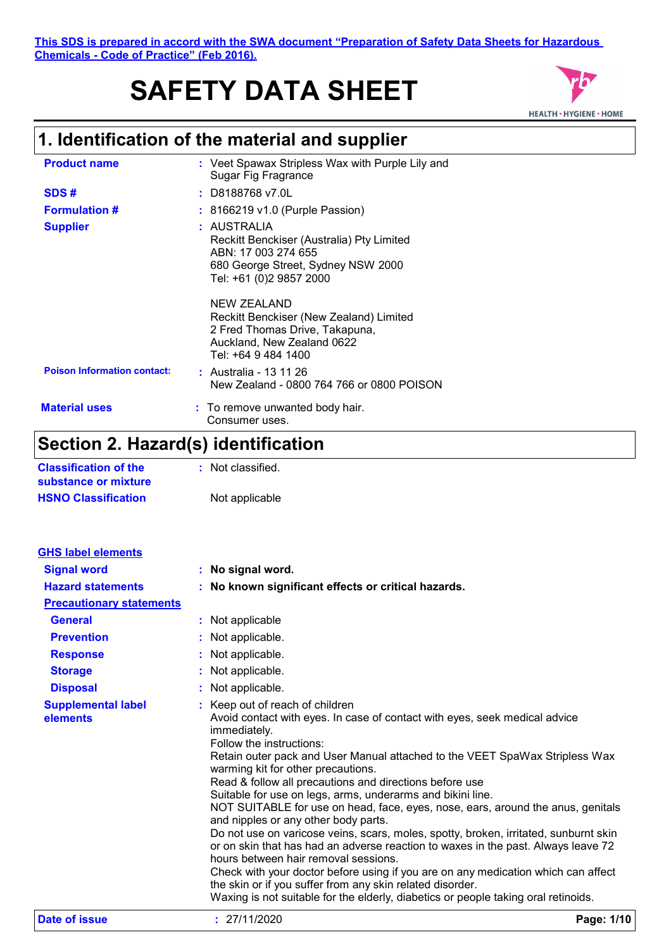# **SAFETY DATA SHEET**



## **1. Identification of the material and supplier**

| <b>Product name</b>                | : Veet Spawax Stripless Wax with Purple Lily and<br>Sugar Fig Fragrance                                                                                                        |
|------------------------------------|--------------------------------------------------------------------------------------------------------------------------------------------------------------------------------|
| SDS#                               | : D8188768 v7.0L                                                                                                                                                               |
| <b>Formulation #</b>               | : 8166219 v1.0 (Purple Passion)                                                                                                                                                |
| <b>Supplier</b>                    | : AUSTRALIA<br>Reckitt Benckiser (Australia) Pty Limited<br>ABN: 17 003 274 655<br>680 George Street, Sydney NSW 2000<br>Tel: +61 (0)2 9857 2000                               |
| <b>Poison Information contact:</b> | NEW ZEALAND<br>Reckitt Benckiser (New Zealand) Limited<br>2 Fred Thomas Drive, Takapuna,<br>Auckland, New Zealand 0622<br>Tel: +64 9 484 1400<br><b>:</b> Australia - 13 11 26 |
|                                    | New Zealand - 0800 764 766 or 0800 POISON                                                                                                                                      |
| <b>Material uses</b>               | : To remove unwanted body hair.<br>Consumer uses.                                                                                                                              |

### **Section 2. Hazard(s) identification**

| <b>Classification of the</b> | : Not classified. |
|------------------------------|-------------------|
| substance or mixture         |                   |
| <b>HSNO Classification</b>   | Not applicable    |

| <b>GHS label elements</b>             |                                                                                                                                                                                                                                                                                                                                                                                                                                                                                                                                                                                                                                                                                                                                                                                                                                                                                                                                                                                                 |            |
|---------------------------------------|-------------------------------------------------------------------------------------------------------------------------------------------------------------------------------------------------------------------------------------------------------------------------------------------------------------------------------------------------------------------------------------------------------------------------------------------------------------------------------------------------------------------------------------------------------------------------------------------------------------------------------------------------------------------------------------------------------------------------------------------------------------------------------------------------------------------------------------------------------------------------------------------------------------------------------------------------------------------------------------------------|------------|
| <b>Signal word</b>                    | : No signal word.                                                                                                                                                                                                                                                                                                                                                                                                                                                                                                                                                                                                                                                                                                                                                                                                                                                                                                                                                                               |            |
| <b>Hazard statements</b>              | : No known significant effects or critical hazards.                                                                                                                                                                                                                                                                                                                                                                                                                                                                                                                                                                                                                                                                                                                                                                                                                                                                                                                                             |            |
| <b>Precautionary statements</b>       |                                                                                                                                                                                                                                                                                                                                                                                                                                                                                                                                                                                                                                                                                                                                                                                                                                                                                                                                                                                                 |            |
| <b>General</b>                        | : Not applicable                                                                                                                                                                                                                                                                                                                                                                                                                                                                                                                                                                                                                                                                                                                                                                                                                                                                                                                                                                                |            |
| <b>Prevention</b>                     | : Not applicable.                                                                                                                                                                                                                                                                                                                                                                                                                                                                                                                                                                                                                                                                                                                                                                                                                                                                                                                                                                               |            |
| <b>Response</b>                       | : Not applicable.                                                                                                                                                                                                                                                                                                                                                                                                                                                                                                                                                                                                                                                                                                                                                                                                                                                                                                                                                                               |            |
| <b>Storage</b>                        | : Not applicable.                                                                                                                                                                                                                                                                                                                                                                                                                                                                                                                                                                                                                                                                                                                                                                                                                                                                                                                                                                               |            |
| <b>Disposal</b>                       | : Not applicable.                                                                                                                                                                                                                                                                                                                                                                                                                                                                                                                                                                                                                                                                                                                                                                                                                                                                                                                                                                               |            |
| <b>Supplemental label</b><br>elements | : Keep out of reach of children<br>Avoid contact with eyes. In case of contact with eyes, seek medical advice<br>immediately.<br>Follow the instructions:<br>Retain outer pack and User Manual attached to the VEET SpaWax Stripless Wax<br>warming kit for other precautions.<br>Read & follow all precautions and directions before use<br>Suitable for use on legs, arms, underarms and bikini line.<br>NOT SUITABLE for use on head, face, eyes, nose, ears, around the anus, genitals<br>and nipples or any other body parts.<br>Do not use on varicose veins, scars, moles, spotty, broken, irritated, sunburnt skin<br>or on skin that has had an adverse reaction to waxes in the past. Always leave 72<br>hours between hair removal sessions.<br>Check with your doctor before using if you are on any medication which can affect<br>the skin or if you suffer from any skin related disorder.<br>Waxing is not suitable for the elderly, diabetics or people taking oral retinoids. |            |
| Date of issue                         | : 27/11/2020                                                                                                                                                                                                                                                                                                                                                                                                                                                                                                                                                                                                                                                                                                                                                                                                                                                                                                                                                                                    | Page: 1/10 |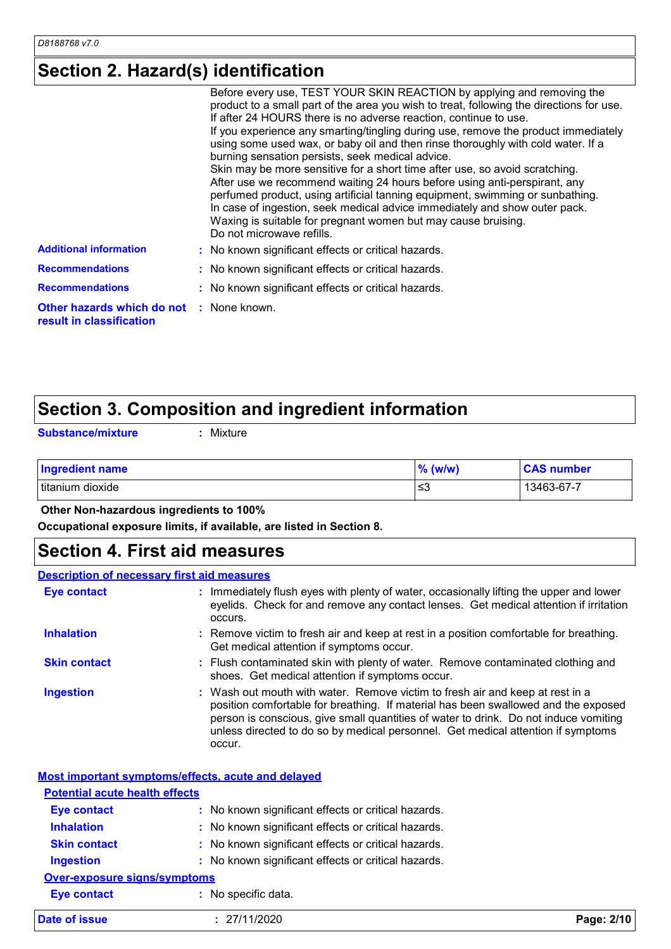### **Section 2. Hazard(s) identification**

|                                                        | Before every use, TEST YOUR SKIN REACTION by applying and removing the<br>product to a small part of the area you wish to treat, following the directions for use.<br>If after 24 HOURS there is no adverse reaction, continue to use.<br>If you experience any smarting/tingling during use, remove the product immediately<br>using some used wax, or baby oil and then rinse thoroughly with cold water. If a<br>burning sensation persists, seek medical advice.<br>Skin may be more sensitive for a short time after use, so avoid scratching.<br>After use we recommend waiting 24 hours before using anti-perspirant, any<br>perfumed product, using artificial tanning equipment, swimming or sunbathing.<br>In case of ingestion, seek medical advice immediately and show outer pack.<br>Waxing is suitable for pregnant women but may cause bruising.<br>Do not microwave refills. |
|--------------------------------------------------------|-----------------------------------------------------------------------------------------------------------------------------------------------------------------------------------------------------------------------------------------------------------------------------------------------------------------------------------------------------------------------------------------------------------------------------------------------------------------------------------------------------------------------------------------------------------------------------------------------------------------------------------------------------------------------------------------------------------------------------------------------------------------------------------------------------------------------------------------------------------------------------------------------|
| <b>Additional information</b>                          | : No known significant effects or critical hazards.                                                                                                                                                                                                                                                                                                                                                                                                                                                                                                                                                                                                                                                                                                                                                                                                                                           |
| <b>Recommendations</b>                                 | : No known significant effects or critical hazards.                                                                                                                                                                                                                                                                                                                                                                                                                                                                                                                                                                                                                                                                                                                                                                                                                                           |
| <b>Recommendations</b>                                 | : No known significant effects or critical hazards.                                                                                                                                                                                                                                                                                                                                                                                                                                                                                                                                                                                                                                                                                                                                                                                                                                           |
| Other hazards which do not<br>result in classification | : None known.                                                                                                                                                                                                                                                                                                                                                                                                                                                                                                                                                                                                                                                                                                                                                                                                                                                                                 |

### **Section 3. Composition and ingredient information**

**Substance/mixture :**

Mixture

| Ingredient name   | $%$ (w/w) | <b>CAS number</b> |
|-------------------|-----------|-------------------|
| Ititanium dioxide | ≲3        | 13463-67-7        |

 **Other Non-hazardous ingredients to 100%**

**Occupational exposure limits, if available, are listed in Section 8.**

### **Section 4. First aid measures**

#### Wash out mouth with water. Remove victim to fresh air and keep at rest in a position comfortable for breathing. If material has been swallowed and the exposed person is conscious, give small quantities of water to drink. Do not induce vomiting unless directed to do so by medical personnel. Get medical attention if symptoms occur. **:** Immediately flush eyes with plenty of water, occasionally lifting the upper and lower eyelids. Check for and remove any contact lenses. Get medical attention if irritation occurs. Flush contaminated skin with plenty of water. Remove contaminated clothing and **:** shoes. Get medical attention if symptoms occur. Remove victim to fresh air and keep at rest in a position comfortable for breathing. **:** Get medical attention if symptoms occur. **Eye contact Skin contact Inhalation Ingestion : Description of necessary first aid measures**

**Most important symptoms/effects, acute and delayed**

| <b>Potential acute health effects</b> |                                                     |            |
|---------------------------------------|-----------------------------------------------------|------------|
| <b>Eye contact</b>                    | : No known significant effects or critical hazards. |            |
| <b>Inhalation</b>                     | : No known significant effects or critical hazards. |            |
| <b>Skin contact</b>                   | : No known significant effects or critical hazards. |            |
| <b>Ingestion</b>                      | : No known significant effects or critical hazards. |            |
| <b>Over-exposure signs/symptoms</b>   |                                                     |            |
| <b>Eye contact</b>                    | : No specific data.                                 |            |
| Date of issue                         | : 27/11/2020                                        | Page: 2/10 |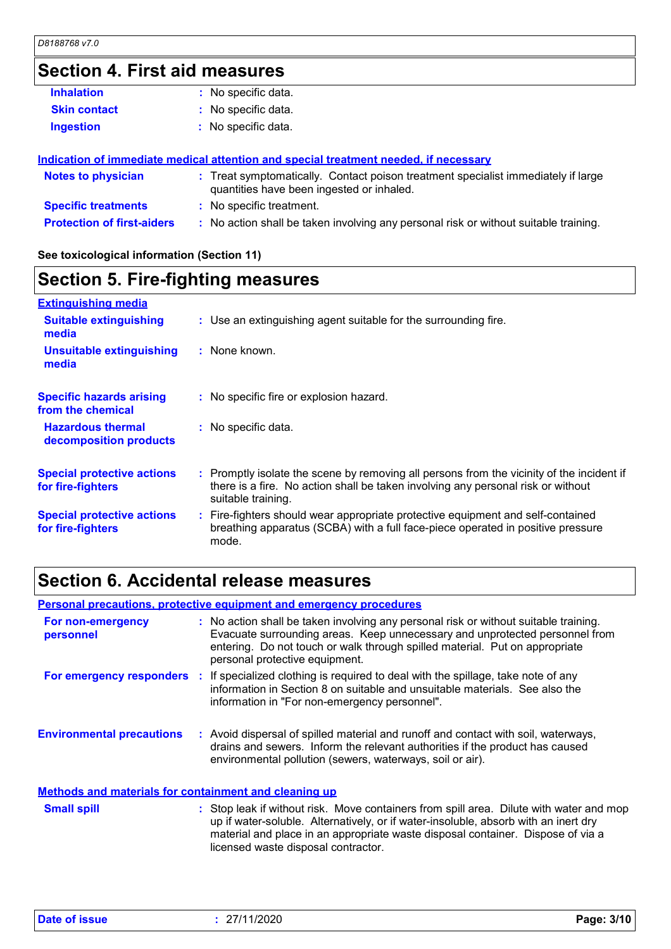### **Section 4. First aid measures**

| <b>Inhalation</b>                 | : No specific data.                                                                                                            |
|-----------------------------------|--------------------------------------------------------------------------------------------------------------------------------|
| <b>Skin contact</b>               | : No specific data.                                                                                                            |
| <b>Ingestion</b>                  | No specific data.                                                                                                              |
|                                   | Indication of immediate medical attention and special treatment needed, if necessary                                           |
| <b>Notes to physician</b>         | : Treat symptomatically. Contact poison treatment specialist immediately if large<br>quantities have been ingested or inhaled. |
| <b>Specific treatments</b>        | : No specific treatment.                                                                                                       |
| <b>Protection of first-aiders</b> | : No action shall be taken involving any personal risk or without suitable training.                                           |
|                                   |                                                                                                                                |

**See toxicological information (Section 11)**

### **Section 5. Fire-fighting measures**

| <b>Extinguishing media</b>                             |                                                                                                                                                                                                     |
|--------------------------------------------------------|-----------------------------------------------------------------------------------------------------------------------------------------------------------------------------------------------------|
| <b>Suitable extinguishing</b><br>media                 | : Use an extinguishing agent suitable for the surrounding fire.                                                                                                                                     |
| <b>Unsuitable extinguishing</b><br>media               | : None known.                                                                                                                                                                                       |
| <b>Specific hazards arising</b><br>from the chemical   | : No specific fire or explosion hazard.                                                                                                                                                             |
| <b>Hazardous thermal</b><br>decomposition products     | : No specific data.                                                                                                                                                                                 |
| <b>Special protective actions</b><br>for fire-fighters | : Promptly isolate the scene by removing all persons from the vicinity of the incident if<br>there is a fire. No action shall be taken involving any personal risk or without<br>suitable training. |
| <b>Special protective actions</b><br>for fire-fighters | : Fire-fighters should wear appropriate protective equipment and self-contained<br>breathing apparatus (SCBA) with a full face-piece operated in positive pressure<br>mode.                         |

### **Section 6. Accidental release measures**

|                                                              | <b>Personal precautions, protective equipment and emergency procedures</b>                                                                                                                                                                                                           |
|--------------------------------------------------------------|--------------------------------------------------------------------------------------------------------------------------------------------------------------------------------------------------------------------------------------------------------------------------------------|
| For non-emergency<br>personnel                               | : No action shall be taken involving any personal risk or without suitable training.<br>Evacuate surrounding areas. Keep unnecessary and unprotected personnel from<br>entering. Do not touch or walk through spilled material. Put on appropriate<br>personal protective equipment. |
| For emergency responders                                     | : If specialized clothing is required to deal with the spillage, take note of any<br>information in Section 8 on suitable and unsuitable materials. See also the<br>information in "For non-emergency personnel".                                                                    |
| <b>Environmental precautions</b>                             | : Avoid dispersal of spilled material and runoff and contact with soil, waterways,<br>drains and sewers. Inform the relevant authorities if the product has caused<br>environmental pollution (sewers, waterways, soil or air).                                                      |
| <b>Methods and materials for containment and cleaning up</b> |                                                                                                                                                                                                                                                                                      |
| <b>Small spill</b>                                           | : Stop leak if without risk. Move containers from spill area. Dilute with water and mop<br>up if water-soluble. Alternatively, or if water-insoluble, absorb with an inert dry<br>material and place in an appropriate waste disposal container. Dispose of via a                    |

licensed waste disposal contractor.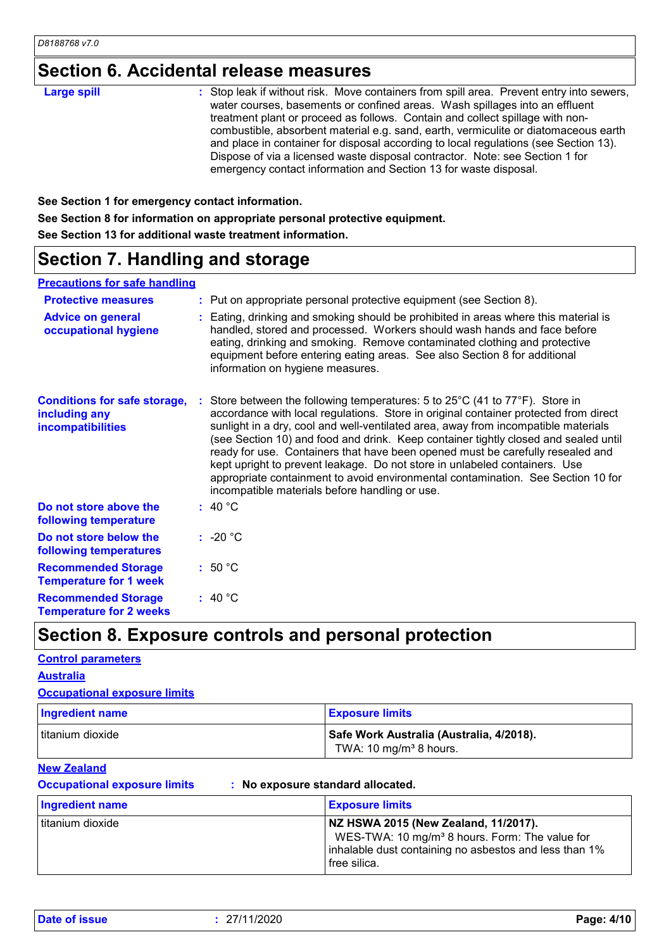### **Section 6. Accidental release measures**

| <b>Large spill</b> | : Stop leak if without risk. Move containers from spill area. Prevent entry into sewers,<br>water courses, basements or confined areas. Wash spillages into an effluent<br>treatment plant or proceed as follows. Contain and collect spillage with non-<br>combustible, absorbent material e.g. sand, earth, vermiculite or diatomaceous earth<br>and place in container for disposal according to local regulations (see Section 13).<br>Dispose of via a licensed waste disposal contractor. Note: see Section 1 for |
|--------------------|-------------------------------------------------------------------------------------------------------------------------------------------------------------------------------------------------------------------------------------------------------------------------------------------------------------------------------------------------------------------------------------------------------------------------------------------------------------------------------------------------------------------------|
|                    | emergency contact information and Section 13 for waste disposal.                                                                                                                                                                                                                                                                                                                                                                                                                                                        |

**See Section 1 for emergency contact information.**

**See Section 8 for information on appropriate personal protective equipment.**

**See Section 13 for additional waste treatment information.**

### **Section 7. Handling and storage**

#### **Precautions for safe handling**

| <b>Protective measures</b><br><b>Advice on general</b><br>occupational hygiene | : Put on appropriate personal protective equipment (see Section 8).<br>: Eating, drinking and smoking should be prohibited in areas where this material is<br>handled, stored and processed. Workers should wash hands and face before<br>eating, drinking and smoking. Remove contaminated clothing and protective<br>equipment before entering eating areas. See also Section 8 for additional<br>information on hygiene measures.                                                                                                                                                                                                                  |
|--------------------------------------------------------------------------------|-------------------------------------------------------------------------------------------------------------------------------------------------------------------------------------------------------------------------------------------------------------------------------------------------------------------------------------------------------------------------------------------------------------------------------------------------------------------------------------------------------------------------------------------------------------------------------------------------------------------------------------------------------|
| <b>Conditions for safe storage,</b><br>including any<br>incompatibilities      | Store between the following temperatures: 5 to 25°C (41 to 77°F). Store in<br>accordance with local regulations. Store in original container protected from direct<br>sunlight in a dry, cool and well-ventilated area, away from incompatible materials<br>(see Section 10) and food and drink. Keep container tightly closed and sealed until<br>ready for use. Containers that have been opened must be carefully resealed and<br>kept upright to prevent leakage. Do not store in unlabeled containers. Use<br>appropriate containment to avoid environmental contamination. See Section 10 for<br>incompatible materials before handling or use. |
| Do not store above the<br>following temperature                                | : 40 °C                                                                                                                                                                                                                                                                                                                                                                                                                                                                                                                                                                                                                                               |
| Do not store below the<br>following temperatures                               | $: -20 °C$                                                                                                                                                                                                                                                                                                                                                                                                                                                                                                                                                                                                                                            |
| <b>Recommended Storage</b><br><b>Temperature for 1 week</b>                    | :50 °C                                                                                                                                                                                                                                                                                                                                                                                                                                                                                                                                                                                                                                                |
| <b>Recommended Storage</b><br><b>Temperature for 2 weeks</b>                   | : 40 °C                                                                                                                                                                                                                                                                                                                                                                                                                                                                                                                                                                                                                                               |

### **Section 8. Exposure controls and personal protection**

### titanium dioxide **Safe Work Australia (Australia, 4/2018).** TWA:  $10 \text{ mg/m}^3$  8 hours. **Ingredient name Exposure limits Control parameters Occupational exposure limits Australia New Zealand**

**Occupational exposure limits : No exposure standard allocated.**

| Ingredient name  | <b>Exposure limits</b>                                                                                                                                                       |
|------------------|------------------------------------------------------------------------------------------------------------------------------------------------------------------------------|
| titanium dioxide | NZ HSWA 2015 (New Zealand, 11/2017).<br>WES-TWA: 10 mg/m <sup>3</sup> 8 hours. Form: The value for<br>inhalable dust containing no asbestos and less than 1%<br>free silica. |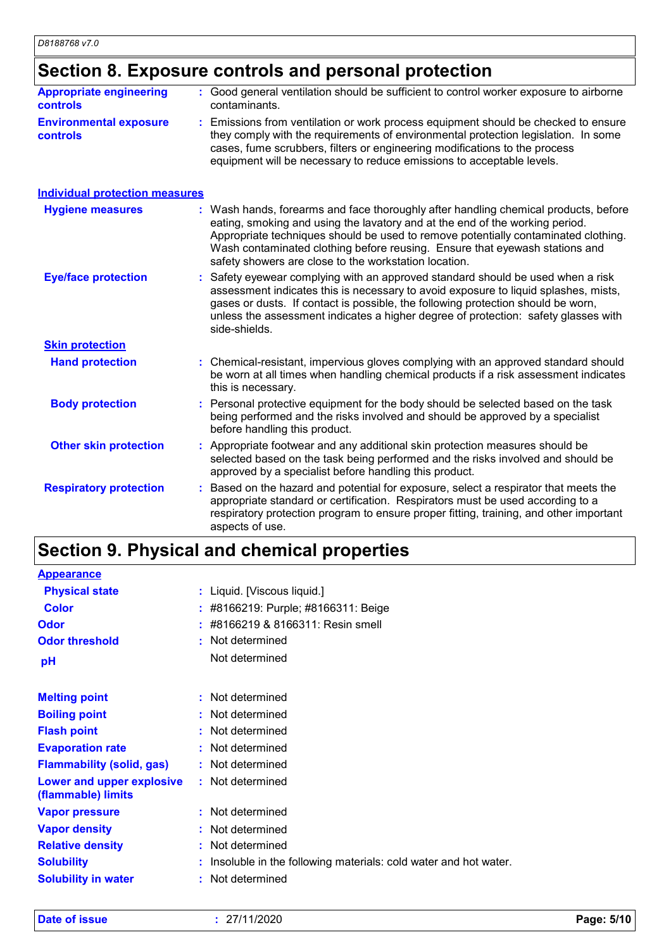**Skin protection**

### **Section 8. Exposure controls and personal protection**

| <b>Appropriate engineering</b><br><b>controls</b> | : Good general ventilation should be sufficient to control worker exposure to airborne<br>contaminants.                                                                                                                                                                                                                                                                                           |
|---------------------------------------------------|---------------------------------------------------------------------------------------------------------------------------------------------------------------------------------------------------------------------------------------------------------------------------------------------------------------------------------------------------------------------------------------------------|
| <b>Environmental exposure</b><br><b>controls</b>  | : Emissions from ventilation or work process equipment should be checked to ensure<br>they comply with the requirements of environmental protection legislation. In some<br>cases, fume scrubbers, filters or engineering modifications to the process<br>equipment will be necessary to reduce emissions to acceptable levels.                                                                   |
| Individual protection measures                    |                                                                                                                                                                                                                                                                                                                                                                                                   |
| <b>Hygiene measures</b>                           | : Wash hands, forearms and face thoroughly after handling chemical products, before<br>eating, smoking and using the lavatory and at the end of the working period.<br>Appropriate techniques should be used to remove potentially contaminated clothing.<br>Wash contaminated clothing before reusing. Ensure that eyewash stations and<br>safety showers are close to the workstation location. |
| <b>Eye/face protection</b>                        | : Safety eyewear complying with an approved standard should be used when a risk<br>assessment indicates this is necessary to avoid exposure to liquid splashes, mists,<br>gases or dusts. If contact is possible, the following protection should be worn,<br>unless the assessment indicates a higher degree of protection: safety glasses with<br>side-shields.                                 |

| <b>Hand protection</b> | : Chemical-resistant, impervious gloves complying with an approved standard should<br>be worn at all times when handling chemical products if a risk assessment indicates<br>this is necessary.     |  |
|------------------------|-----------------------------------------------------------------------------------------------------------------------------------------------------------------------------------------------------|--|
| <b>Body protection</b> | : Personal protective equipment for the body should be selected based on the task<br>being performed and the risks involved and should be approved by a specialist<br>before handling this product. |  |

| <b>Other skin protection</b>                           |  | : Appropriate footwear and any additional skin protection measures should be    |
|--------------------------------------------------------|--|---------------------------------------------------------------------------------|
| approved by a specialist before handling this product. |  | selected based on the task being performed and the risks involved and should be |
|                                                        |  |                                                                                 |

Based on the hazard and potential for exposure, select a respirator that meets the appropriate standard or certification. Respirators must be used according to a respiratory protection program to ensure proper fitting, training, and other important aspects of use. **Respiratory protection :**

### **Section 9. Physical and chemical properties**

| <b>Appearance</b>                               |                                                                 |  |  |
|-------------------------------------------------|-----------------------------------------------------------------|--|--|
| <b>Physical state</b>                           | : Liquid. [Viscous liquid.]                                     |  |  |
| <b>Color</b>                                    | : #8166219: Purple; #8166311: Beige                             |  |  |
| Odor                                            | #8166219 & 8166311: Resin smell<br>t.                           |  |  |
| <b>Odor threshold</b>                           | : Not determined                                                |  |  |
| pH                                              | Not determined                                                  |  |  |
| <b>Melting point</b>                            | : Not determined                                                |  |  |
| <b>Boiling point</b>                            | : Not determined                                                |  |  |
| <b>Flash point</b>                              | : Not determined                                                |  |  |
| <b>Evaporation rate</b>                         | Not determined<br>÷.                                            |  |  |
| <b>Flammability (solid, gas)</b>                | : Not determined                                                |  |  |
| Lower and upper explosive<br>(flammable) limits | : Not determined                                                |  |  |
| <b>Vapor pressure</b>                           | : Not determined                                                |  |  |
| <b>Vapor density</b>                            | : Not determined                                                |  |  |
| <b>Relative density</b>                         | : Not determined                                                |  |  |
| <b>Solubility</b>                               | Insoluble in the following materials: cold water and hot water. |  |  |
| <b>Solubility in water</b>                      | Not determined<br>t.                                            |  |  |
|                                                 |                                                                 |  |  |

**Date of issue :** 27/11/2020 **Page: 5/10**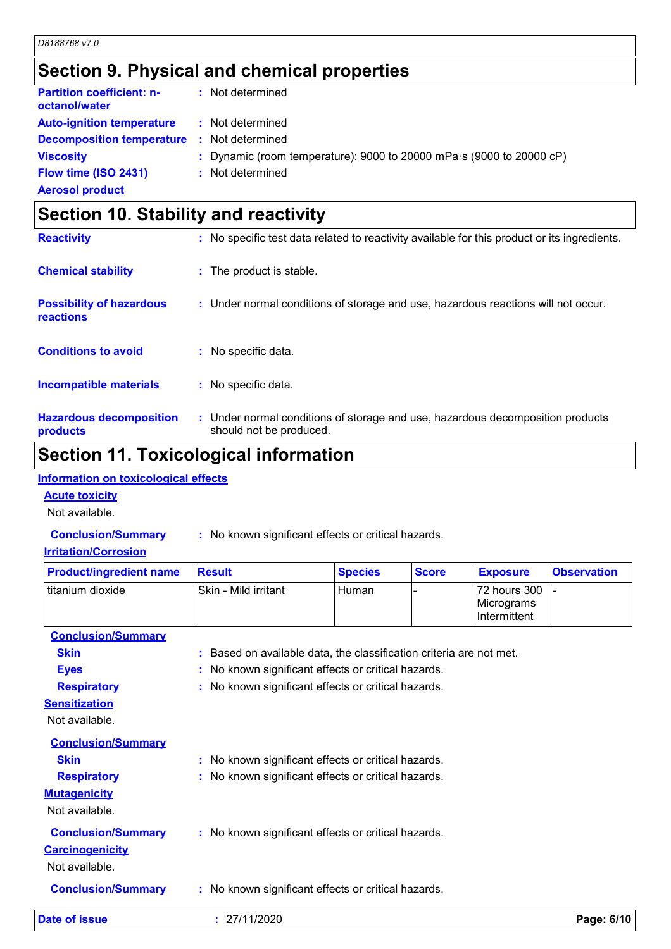### **Section 9. Physical and chemical properties**

| Flow time (ISO 2431)<br><b>Aerosol product</b>       | : Not determined                                                                                      |
|------------------------------------------------------|-------------------------------------------------------------------------------------------------------|
| <b>Decomposition temperature</b><br><b>Viscosity</b> | Not determined<br>-11<br>: Dynamic (room temperature): 9000 to 20000 mPa $\cdot$ s (9000 to 20000 cP) |
| <b>Auto-ignition temperature</b>                     | : Not determined                                                                                      |
| <b>Partition coefficient: n-</b><br>octanol/water    | : Not determined                                                                                      |

| <b>OUGLION TO. OLANING AND TUACH VILY</b>           |                                                                                                           |
|-----------------------------------------------------|-----------------------------------------------------------------------------------------------------------|
| <b>Reactivity</b>                                   | : No specific test data related to reactivity available for this product or its ingredients.              |
| <b>Chemical stability</b>                           | : The product is stable.                                                                                  |
| <b>Possibility of hazardous</b><br><b>reactions</b> | : Under normal conditions of storage and use, hazardous reactions will not occur.                         |
| <b>Conditions to avoid</b>                          | : No specific data.                                                                                       |
| <b>Incompatible materials</b>                       | : No specific data.                                                                                       |
| <b>Hazardous decomposition</b><br>products          | : Under normal conditions of storage and use, hazardous decomposition products<br>should not be produced. |

### **Section 11. Toxicological information**

#### **Information on toxicological effects**

#### **Acute toxicity**

Not available.

**Conclusion/Summary :** No known significant effects or critical hazards.

#### **Irritation/Corrosion**

| <b>Product/ingredient name</b> | <b>Result</b>                                                       | <b>Species</b> | <b>Score</b> | <b>Exposure</b>                            | <b>Observation</b> |
|--------------------------------|---------------------------------------------------------------------|----------------|--------------|--------------------------------------------|--------------------|
| titanium dioxide               | Skin - Mild irritant                                                | Human          |              | 72 hours 300<br>Micrograms<br>Intermittent |                    |
| <b>Conclusion/Summary</b>      |                                                                     |                |              |                                            |                    |
| <b>Skin</b>                    | : Based on available data, the classification criteria are not met. |                |              |                                            |                    |
| <b>Eyes</b>                    | : No known significant effects or critical hazards.                 |                |              |                                            |                    |
| <b>Respiratory</b>             | : No known significant effects or critical hazards.                 |                |              |                                            |                    |
| <b>Sensitization</b>           |                                                                     |                |              |                                            |                    |
| Not available.                 |                                                                     |                |              |                                            |                    |
| <b>Conclusion/Summary</b>      |                                                                     |                |              |                                            |                    |
| <b>Skin</b>                    | : No known significant effects or critical hazards.                 |                |              |                                            |                    |
| <b>Respiratory</b>             | : No known significant effects or critical hazards.                 |                |              |                                            |                    |
| <b>Mutagenicity</b>            |                                                                     |                |              |                                            |                    |
| Not available.                 |                                                                     |                |              |                                            |                    |
| <b>Conclusion/Summary</b>      | : No known significant effects or critical hazards.                 |                |              |                                            |                    |
| <b>Carcinogenicity</b>         |                                                                     |                |              |                                            |                    |
| Not available.                 |                                                                     |                |              |                                            |                    |
| <b>Conclusion/Summary</b>      | : No known significant effects or critical hazards.                 |                |              |                                            |                    |

| Date of issue | 27/11/2020<br>_____ | Page: 6/10 |
|---------------|---------------------|------------|
|               |                     |            |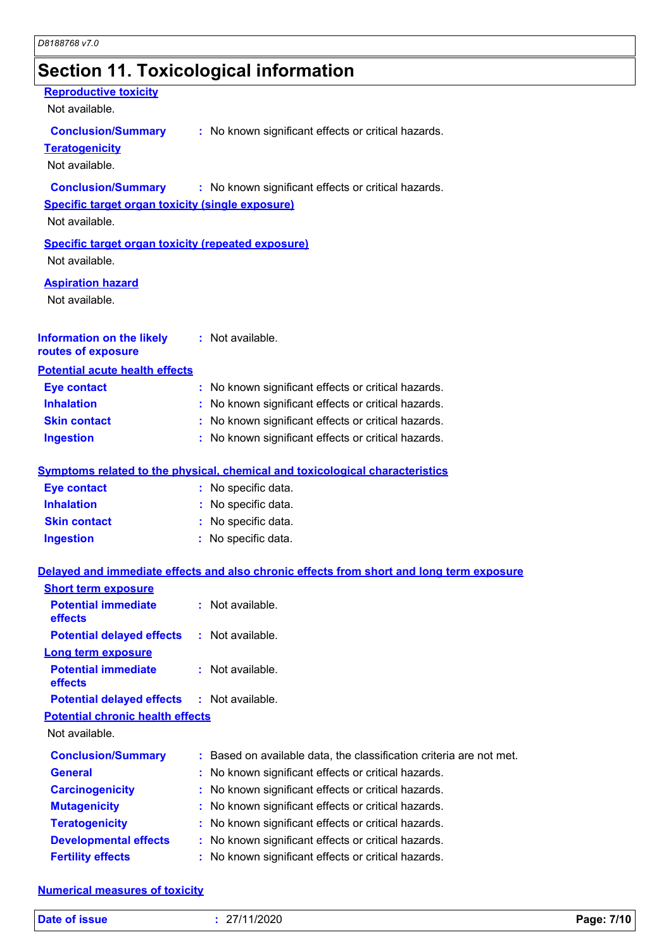### **Section 11. Toxicological information**

#### **Reproductive toxicity**

Not available.

#### **Conclusion/Summary :** No known significant effects or critical hazards.

#### **Teratogenicity**

Not available.

#### **Conclusion/Summary :** No known significant effects or critical hazards.

#### **Specific target organ toxicity (single exposure)**

Not available.

### **Specific target organ toxicity (repeated exposure)**

Not available.

#### **Aspiration hazard**

Not available.

#### **Information on the likely routes of exposure :** Not available.

#### **Potential acute health effects**

| <b>Eye contact</b>  | : No known significant effects or critical hazards. |
|---------------------|-----------------------------------------------------|
| <b>Inhalation</b>   | : No known significant effects or critical hazards. |
| <b>Skin contact</b> | : No known significant effects or critical hazards. |
| <b>Ingestion</b>    | : No known significant effects or critical hazards. |

#### **Symptoms related to the physical, chemical and toxicological characteristics**

| <b>Eye contact</b>  | : No specific data. |
|---------------------|---------------------|
| <b>Inhalation</b>   | : No specific data. |
| <b>Skin contact</b> | : No specific data. |
| Ingestion           | : No specific data. |

#### **Delayed and immediate effects and also chronic effects from short and long term exposure**

| <b>Short term exposure</b>                        |                                                                     |
|---------------------------------------------------|---------------------------------------------------------------------|
| <b>Potential immediate</b><br><b>effects</b>      | : Not available.                                                    |
| <b>Potential delayed effects</b>                  | : Not available.                                                    |
| <b>Long term exposure</b>                         |                                                                     |
| <b>Potential immediate</b><br>effects             | $:$ Not available.                                                  |
| <b>Potential delayed effects : Not available.</b> |                                                                     |
| <b>Potential chronic health effects</b>           |                                                                     |
| Not available.                                    |                                                                     |
| <b>Conclusion/Summary</b>                         | : Based on available data, the classification criteria are not met. |
| <b>General</b>                                    | : No known significant effects or critical hazards.                 |
| <b>Carcinogenicity</b>                            | : No known significant effects or critical hazards.                 |
| <b>Mutagenicity</b>                               | : No known significant effects or critical hazards.                 |
| <b>Teratogenicity</b>                             | : No known significant effects or critical hazards.                 |
| <b>Developmental effects</b>                      | : No known significant effects or critical hazards.                 |
| <b>Fertility effects</b>                          | : No known significant effects or critical hazards.                 |

#### **Numerical measures of toxicity**

| Date of issue | 27/11/2020 | Page: 7/10 |
|---------------|------------|------------|
|---------------|------------|------------|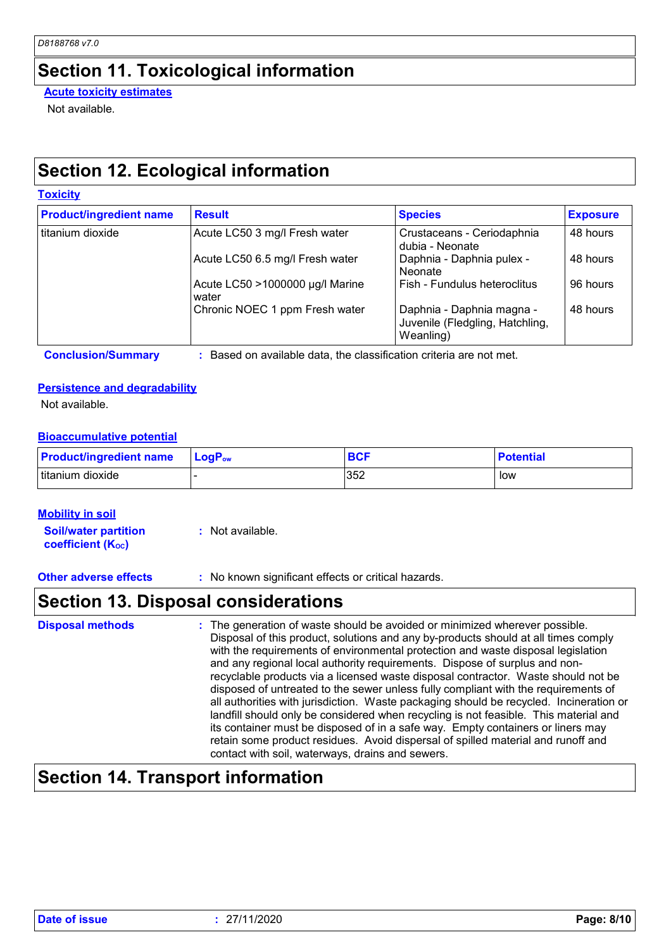### **Section 11. Toxicological information**

**Acute toxicity estimates**

Not available.

### **Section 12. Ecological information**

| <b>Toxicity</b> |
|-----------------|
|-----------------|

| <b>Product/ingredient name</b> | <b>Result</b>                            | <b>Species</b>                                                            | <b>Exposure</b> |
|--------------------------------|------------------------------------------|---------------------------------------------------------------------------|-----------------|
| titanium dioxide               | Acute LC50 3 mg/l Fresh water            | Crustaceans - Ceriodaphnia<br>dubia - Neonate                             | 48 hours        |
|                                | Acute LC50 6.5 mg/l Fresh water          | Daphnia - Daphnia pulex -<br><b>Neonate</b>                               | 48 hours        |
|                                | Acute LC50 >1000000 µg/l Marine<br>water | Fish - Fundulus heteroclitus                                              | 96 hours        |
|                                | Chronic NOEC 1 ppm Fresh water           | Daphnia - Daphnia magna -<br>Juvenile (Fledgling, Hatchling,<br>Weanling) | 48 hours        |

**Conclusion/Summary :** Based on available data, the classification criteria are not met.

#### **Persistence and degradability**

Not available.

#### **Bioaccumulative potential**

| <b>Product/ingredient name</b> | $LogPow$ | BCF | <b>Potential</b> |
|--------------------------------|----------|-----|------------------|
| Ititanium dioxide              |          | 352 | low              |

#### **Mobility in soil**

**Soil/water partition coefficient (Koc) :** Not available.

**Other adverse effects** : No known significant effects or critical hazards.

### **Section 13. Disposal considerations**

The generation of waste should be avoided or minimized wherever possible. Disposal of this product, solutions and any by-products should at all times comply with the requirements of environmental protection and waste disposal legislation and any regional local authority requirements. Dispose of surplus and nonrecyclable products via a licensed waste disposal contractor. Waste should not be disposed of untreated to the sewer unless fully compliant with the requirements of all authorities with jurisdiction. Waste packaging should be recycled. Incineration or landfill should only be considered when recycling is not feasible. This material and its container must be disposed of in a safe way. Empty containers or liners may retain some product residues. Avoid dispersal of spilled material and runoff and contact with soil, waterways, drains and sewers. **Disposal methods :**

### **Section 14. Transport information**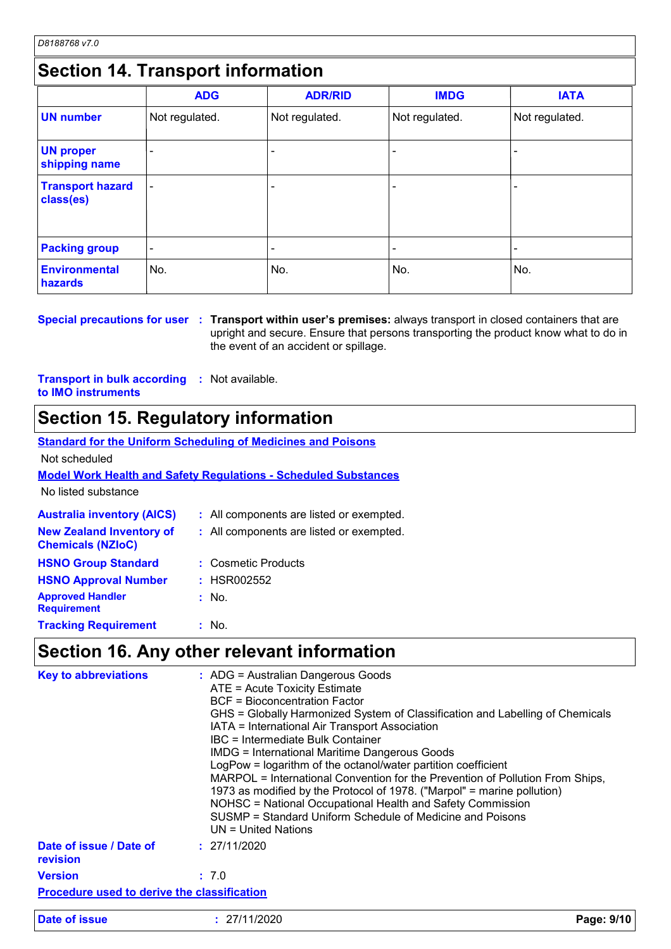### **Section 14. Transport information**

|                                      | <b>ADG</b>               | <b>ADR/RID</b> | <b>IMDG</b>    | <b>IATA</b>    |
|--------------------------------------|--------------------------|----------------|----------------|----------------|
| <b>UN number</b>                     | Not regulated.           | Not regulated. | Not regulated. | Not regulated. |
| <b>UN proper</b><br>shipping name    |                          |                |                |                |
| <b>Transport hazard</b><br>class(es) | $\overline{\phantom{0}}$ |                |                |                |
| <b>Packing group</b>                 | ٠                        |                |                | $\blacksquare$ |
| <b>Environmental</b><br>hazards      | No.                      | No.            | No.            | No.            |

**Special precautions for user Transport within user's premises:** always transport in closed containers that are **:** upright and secure. Ensure that persons transporting the product know what to do in the event of an accident or spillage.

**Transport in bulk according :** Not available. **to IMO instruments**

### **Section 15. Regulatory information**

|                                                             | <b>Standard for the Uniform Scheduling of Medicines and Poisons</b>    |
|-------------------------------------------------------------|------------------------------------------------------------------------|
| Not scheduled                                               |                                                                        |
|                                                             | <b>Model Work Health and Safety Requlations - Scheduled Substances</b> |
| No listed substance                                         |                                                                        |
| <b>Australia inventory (AICS)</b>                           | : All components are listed or exempted.                               |
| <b>New Zealand Inventory of</b><br><b>Chemicals (NZIoC)</b> | : All components are listed or exempted.                               |
| <b>HSNO Group Standard</b>                                  | : Cosmetic Products                                                    |
| <b>HSNO Approval Number</b>                                 | : HSR002552                                                            |
| <b>Approved Handler</b><br><b>Requirement</b>               | $:$ No.                                                                |
| <b>Tracking Requirement</b>                                 | $:$ No.                                                                |
|                                                             | Coofian AC, Any other relevant information                             |

### **Section 16. Any other relevant information**

| <b>Key to abbreviations</b>                        | : ADG = Australian Dangerous Goods<br>ATE = Acute Toxicity Estimate<br>BCF = Bioconcentration Factor<br>GHS = Globally Harmonized System of Classification and Labelling of Chemicals<br>IATA = International Air Transport Association<br>IBC = Intermediate Bulk Container<br><b>IMDG = International Maritime Dangerous Goods</b><br>LogPow = logarithm of the octanol/water partition coefficient<br>MARPOL = International Convention for the Prevention of Pollution From Ships,<br>1973 as modified by the Protocol of 1978. ("Marpol" = marine pollution)<br>NOHSC = National Occupational Health and Safety Commission<br>SUSMP = Standard Uniform Schedule of Medicine and Poisons<br>UN = United Nations |            |
|----------------------------------------------------|---------------------------------------------------------------------------------------------------------------------------------------------------------------------------------------------------------------------------------------------------------------------------------------------------------------------------------------------------------------------------------------------------------------------------------------------------------------------------------------------------------------------------------------------------------------------------------------------------------------------------------------------------------------------------------------------------------------------|------------|
| Date of issue / Date of<br>revision                | : 27/11/2020                                                                                                                                                                                                                                                                                                                                                                                                                                                                                                                                                                                                                                                                                                        |            |
| <b>Version</b>                                     | : 7.0                                                                                                                                                                                                                                                                                                                                                                                                                                                                                                                                                                                                                                                                                                               |            |
| <b>Procedure used to derive the classification</b> |                                                                                                                                                                                                                                                                                                                                                                                                                                                                                                                                                                                                                                                                                                                     |            |
| Date of issue                                      | : 27/11/2020                                                                                                                                                                                                                                                                                                                                                                                                                                                                                                                                                                                                                                                                                                        | Page: 9/10 |